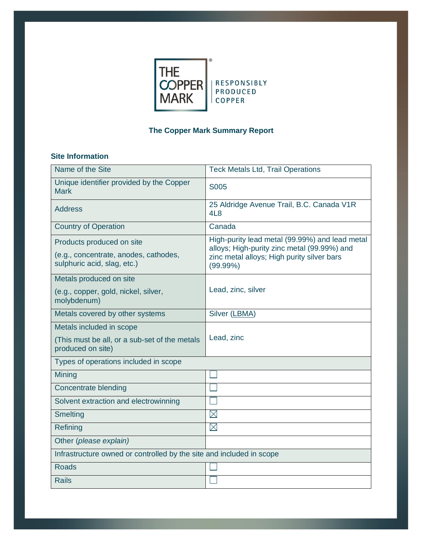

# **The Copper Mark Summary Report**

## **Site Information**

| Name of the Site                                                                                  | <b>Teck Metals Ltd, Trail Operations</b>                                                                                                                   |
|---------------------------------------------------------------------------------------------------|------------------------------------------------------------------------------------------------------------------------------------------------------------|
| Unique identifier provided by the Copper<br><b>Mark</b>                                           | S005                                                                                                                                                       |
| <b>Address</b>                                                                                    | 25 Aldridge Avenue Trail, B.C. Canada V1R<br>4L8                                                                                                           |
| <b>Country of Operation</b>                                                                       | Canada                                                                                                                                                     |
| Products produced on site<br>(e.g., concentrate, anodes, cathodes,<br>sulphuric acid, slag, etc.) | High-purity lead metal (99.99%) and lead metal<br>alloys; High-purity zinc metal (99.99%) and<br>zinc metal alloys; High purity silver bars<br>$(99.99\%)$ |
| Metals produced on site                                                                           |                                                                                                                                                            |
| (e.g., copper, gold, nickel, silver,<br>molybdenum)                                               | Lead, zinc, silver                                                                                                                                         |
| Metals covered by other systems                                                                   | Silver (LBMA)                                                                                                                                              |
| Metals included in scope                                                                          |                                                                                                                                                            |
| (This must be all, or a sub-set of the metals<br>produced on site)                                | Lead, zinc                                                                                                                                                 |
| Types of operations included in scope                                                             |                                                                                                                                                            |
| Mining                                                                                            |                                                                                                                                                            |
| Concentrate blending                                                                              |                                                                                                                                                            |
| Solvent extraction and electrowinning                                                             |                                                                                                                                                            |
| <b>Smelting</b>                                                                                   | $\boxtimes$                                                                                                                                                |
| Refining                                                                                          | $\boxtimes$                                                                                                                                                |
| Other (please explain)                                                                            |                                                                                                                                                            |
| Infrastructure owned or controlled by the site and included in scope                              |                                                                                                                                                            |
| <b>Roads</b>                                                                                      |                                                                                                                                                            |
| <b>Rails</b>                                                                                      |                                                                                                                                                            |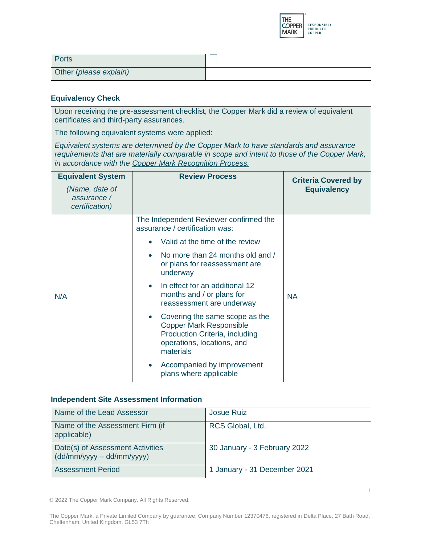

| Ports                  |  |
|------------------------|--|
| Other (please explain) |  |

### **Equivalency Check**

Upon receiving the pre-assessment checklist, the Copper Mark did a review of equivalent certificates and third-party assurances.

The following equivalent systems were applied:

*Equivalent systems are determined by the Copper Mark to have standards and assurance requirements that are materially comparable in scope and intent to those of the Copper Mark, in accordance with the [Copper Mark Recognition Process.](https://coppermark.org/assurance-process/recognition-and-equivalence/)*

| <b>Equivalent System</b><br>(Name, date of<br>assurance /<br>certification) | <b>Review Process</b>                                                                                                                         | <b>Criteria Covered by</b><br><b>Equivalency</b> |
|-----------------------------------------------------------------------------|-----------------------------------------------------------------------------------------------------------------------------------------------|--------------------------------------------------|
|                                                                             | The Independent Reviewer confirmed the<br>assurance / certification was:                                                                      |                                                  |
|                                                                             | Valid at the time of the review                                                                                                               |                                                  |
|                                                                             | No more than 24 months old and /<br>or plans for reassessment are<br>underway                                                                 |                                                  |
| N/A                                                                         | In effect for an additional 12<br>months and / or plans for<br>reassessment are underway                                                      | <b>NA</b>                                        |
|                                                                             | Covering the same scope as the<br><b>Copper Mark Responsible</b><br>Production Criteria, including<br>operations, locations, and<br>materials |                                                  |
|                                                                             | Accompanied by improvement<br>plans where applicable                                                                                          |                                                  |

#### **Independent Site Assessment Information**

| Name of the Lead Assessor                                       | <b>Josue Ruiz</b>            |
|-----------------------------------------------------------------|------------------------------|
| Name of the Assessment Firm (if<br>applicable)                  | RCS Global, Ltd.             |
| Date(s) of Assessment Activities<br>$(dd/mm/yyyy - dd/mm/yyyy)$ | 30 January - 3 February 2022 |
| <b>Assessment Period</b>                                        | 1 January - 31 December 2021 |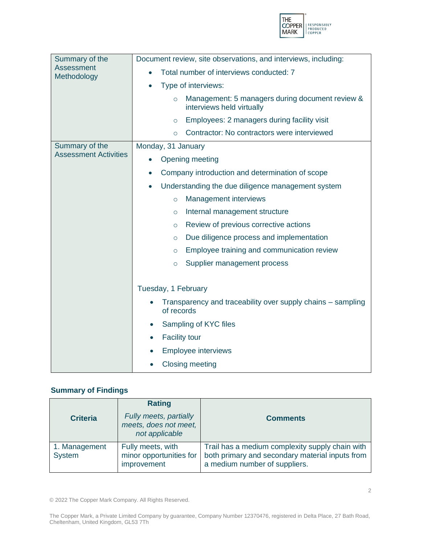

| Summary of the               | Document review, site observations, and interviews, including:                          |  |
|------------------------------|-----------------------------------------------------------------------------------------|--|
| Assessment<br>Methodology    | Total number of interviews conducted: 7                                                 |  |
|                              | Type of interviews:<br>$\bullet$                                                        |  |
|                              | Management: 5 managers during document review &<br>$\circ$<br>interviews held virtually |  |
|                              | Employees: 2 managers during facility visit<br>$\circ$                                  |  |
|                              | Contractor: No contractors were interviewed<br>$\circ$                                  |  |
| Summary of the               | Monday, 31 January                                                                      |  |
| <b>Assessment Activities</b> | Opening meeting                                                                         |  |
|                              | Company introduction and determination of scope<br>$\bullet$                            |  |
|                              | Understanding the due diligence management system<br>$\bullet$                          |  |
|                              | Management interviews<br>$\circ$                                                        |  |
|                              | Internal management structure<br>$\circ$                                                |  |
|                              | Review of previous corrective actions<br>$\circ$                                        |  |
|                              | Due diligence process and implementation<br>$\circ$                                     |  |
|                              | Employee training and communication review<br>$\circ$                                   |  |
|                              | Supplier management process<br>$\circ$                                                  |  |
|                              |                                                                                         |  |
|                              | Tuesday, 1 February                                                                     |  |
|                              | Transparency and traceability over supply chains - sampling<br>of records               |  |
|                              | Sampling of KYC files<br>$\bullet$                                                      |  |
|                              | <b>Facility tour</b>                                                                    |  |
|                              | <b>Employee interviews</b>                                                              |  |
|                              | <b>Closing meeting</b>                                                                  |  |

### **Summary of Findings**

| <b>Criteria</b>         | <b>Rating</b><br>Fully meets, partially<br>meets, does not meet,<br>not applicable | <b>Comments</b>                                                                                                                     |
|-------------------------|------------------------------------------------------------------------------------|-------------------------------------------------------------------------------------------------------------------------------------|
| 1. Management<br>System | Fully meets, with<br>minor opportunities for<br>improvement                        | Trail has a medium complexity supply chain with<br>both primary and secondary material inputs from<br>a medium number of suppliers. |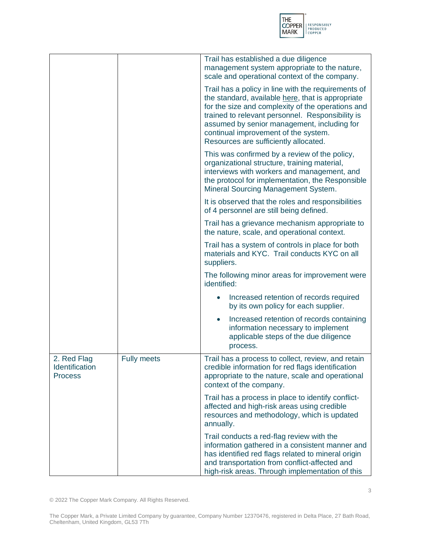

|                                                 |                    | Trail has established a due diligence<br>management system appropriate to the nature,                                                                                                                                                                                                                                                             |
|-------------------------------------------------|--------------------|---------------------------------------------------------------------------------------------------------------------------------------------------------------------------------------------------------------------------------------------------------------------------------------------------------------------------------------------------|
|                                                 |                    | scale and operational context of the company.                                                                                                                                                                                                                                                                                                     |
|                                                 |                    | Trail has a policy in line with the requirements of<br>the standard, available here, that is appropriate<br>for the size and complexity of the operations and<br>trained to relevant personnel. Responsibility is<br>assumed by senior management, including for<br>continual improvement of the system.<br>Resources are sufficiently allocated. |
|                                                 |                    | This was confirmed by a review of the policy,<br>organizational structure, training material,<br>interviews with workers and management, and<br>the protocol for implementation, the Responsible<br>Mineral Sourcing Management System.                                                                                                           |
|                                                 |                    | It is observed that the roles and responsibilities<br>of 4 personnel are still being defined.                                                                                                                                                                                                                                                     |
|                                                 |                    | Trail has a grievance mechanism appropriate to<br>the nature, scale, and operational context.                                                                                                                                                                                                                                                     |
|                                                 |                    | Trail has a system of controls in place for both<br>materials and KYC. Trail conducts KYC on all<br>suppliers.                                                                                                                                                                                                                                    |
|                                                 |                    | The following minor areas for improvement were<br>identified:                                                                                                                                                                                                                                                                                     |
|                                                 |                    | Increased retention of records required<br>by its own policy for each supplier.                                                                                                                                                                                                                                                                   |
|                                                 |                    | Increased retention of records containing<br>information necessary to implement<br>applicable steps of the due diligence<br>process.                                                                                                                                                                                                              |
| 2. Red Flag<br>Identification<br><b>Process</b> | <b>Fully meets</b> | Trail has a process to collect, review, and retain<br>credible information for red flags identification<br>appropriate to the nature, scale and operational<br>context of the company.                                                                                                                                                            |
|                                                 |                    | Trail has a process in place to identify conflict-<br>affected and high-risk areas using credible<br>resources and methodology, which is updated<br>annually.                                                                                                                                                                                     |
|                                                 |                    | Trail conducts a red-flag review with the<br>information gathered in a consistent manner and<br>has identified red flags related to mineral origin<br>and transportation from conflict-affected and<br>high-risk areas. Through implementation of this                                                                                            |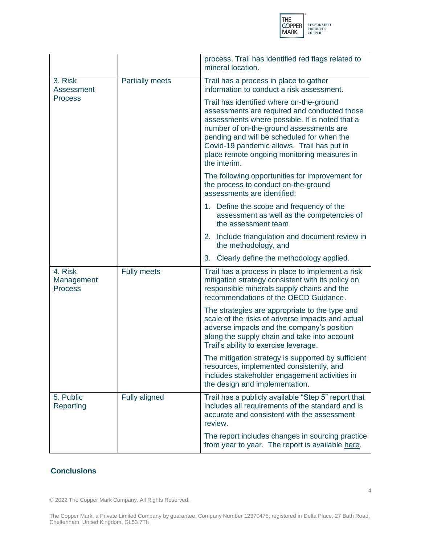

|                                         |                        | process, Trail has identified red flags related to<br>mineral location.                                                                                                                                                                                                                                                                          |
|-----------------------------------------|------------------------|--------------------------------------------------------------------------------------------------------------------------------------------------------------------------------------------------------------------------------------------------------------------------------------------------------------------------------------------------|
| 3. Risk<br><b>Assessment</b>            | <b>Partially meets</b> | Trail has a process in place to gather<br>information to conduct a risk assessment.                                                                                                                                                                                                                                                              |
| <b>Process</b>                          |                        | Trail has identified where on-the-ground<br>assessments are required and conducted those<br>assessments where possible. It is noted that a<br>number of on-the-ground assessments are<br>pending and will be scheduled for when the<br>Covid-19 pandemic allows. Trail has put in<br>place remote ongoing monitoring measures in<br>the interim. |
|                                         |                        | The following opportunities for improvement for<br>the process to conduct on-the-ground<br>assessments are identified:                                                                                                                                                                                                                           |
|                                         |                        | 1. Define the scope and frequency of the<br>assessment as well as the competencies of<br>the assessment team                                                                                                                                                                                                                                     |
|                                         |                        | 2. Include triangulation and document review in<br>the methodology, and                                                                                                                                                                                                                                                                          |
|                                         |                        | 3. Clearly define the methodology applied.                                                                                                                                                                                                                                                                                                       |
| 4. Risk<br>Management<br><b>Process</b> | <b>Fully meets</b>     | Trail has a process in place to implement a risk<br>mitigation strategy consistent with its policy on<br>responsible minerals supply chains and the<br>recommendations of the OECD Guidance.                                                                                                                                                     |
|                                         |                        | The strategies are appropriate to the type and<br>scale of the risks of adverse impacts and actual<br>adverse impacts and the company's position<br>along the supply chain and take into account<br>Trail's ability to exercise leverage.                                                                                                        |
|                                         |                        | The mitigation strategy is supported by sufficient<br>resources, implemented consistently, and<br>includes stakeholder engagement activities in<br>the design and implementation.                                                                                                                                                                |
| 5. Public<br>Reporting                  | Fully aligned          | Trail has a publicly available "Step 5" report that<br>includes all requirements of the standard and is<br>accurate and consistent with the assessment<br>review.                                                                                                                                                                                |
|                                         |                        | The report includes changes in sourcing practice<br>from year to year. The report is available here.                                                                                                                                                                                                                                             |

### **Conclusions**